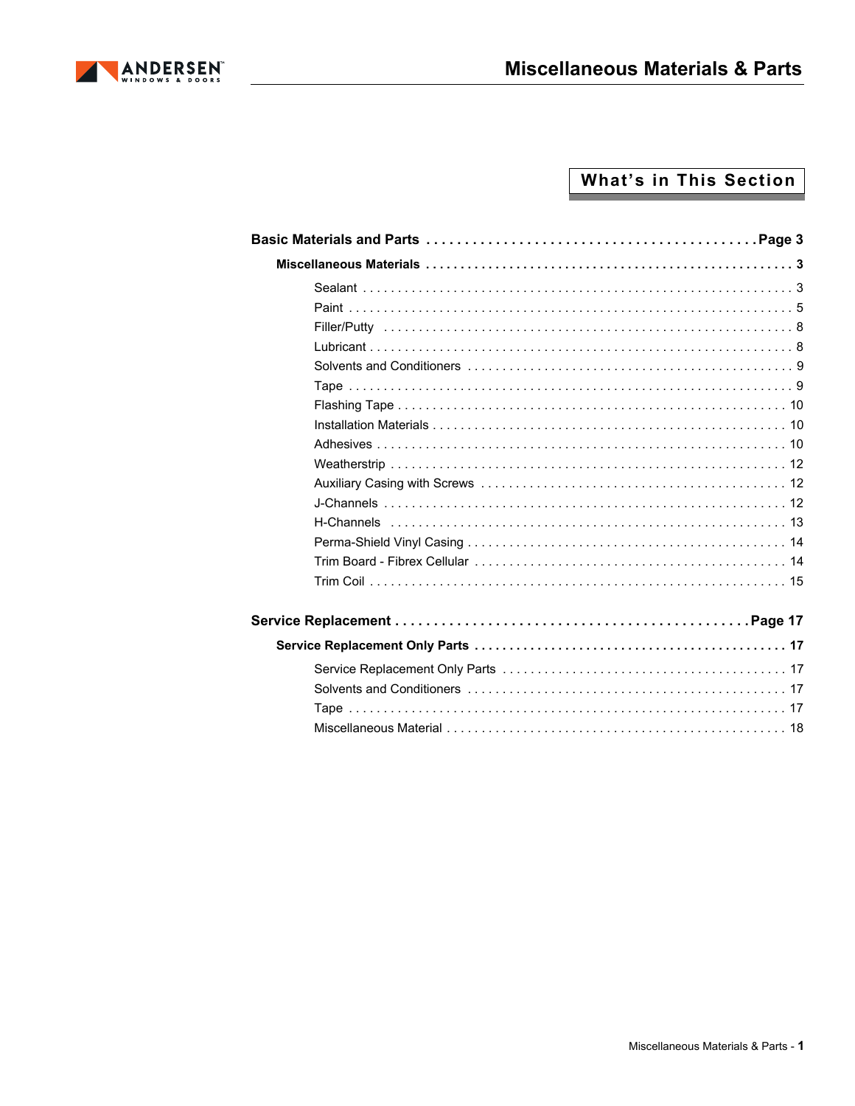

## **What's in This Section**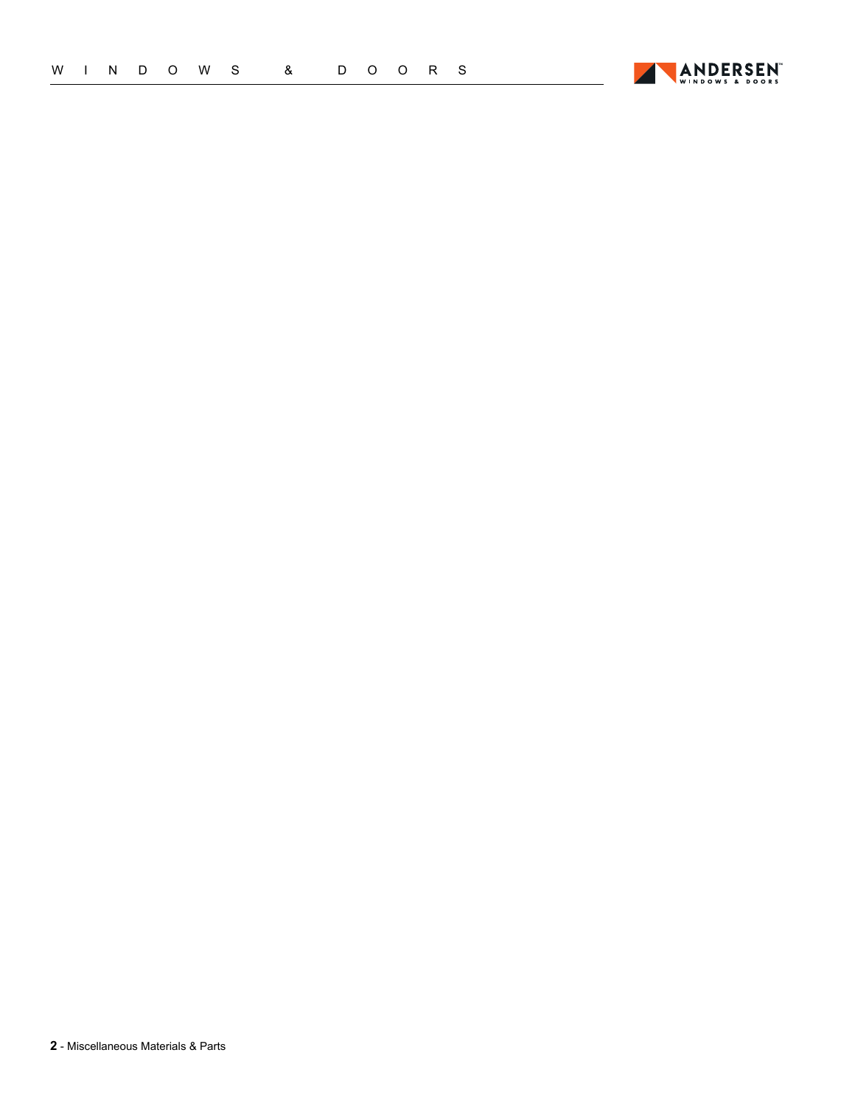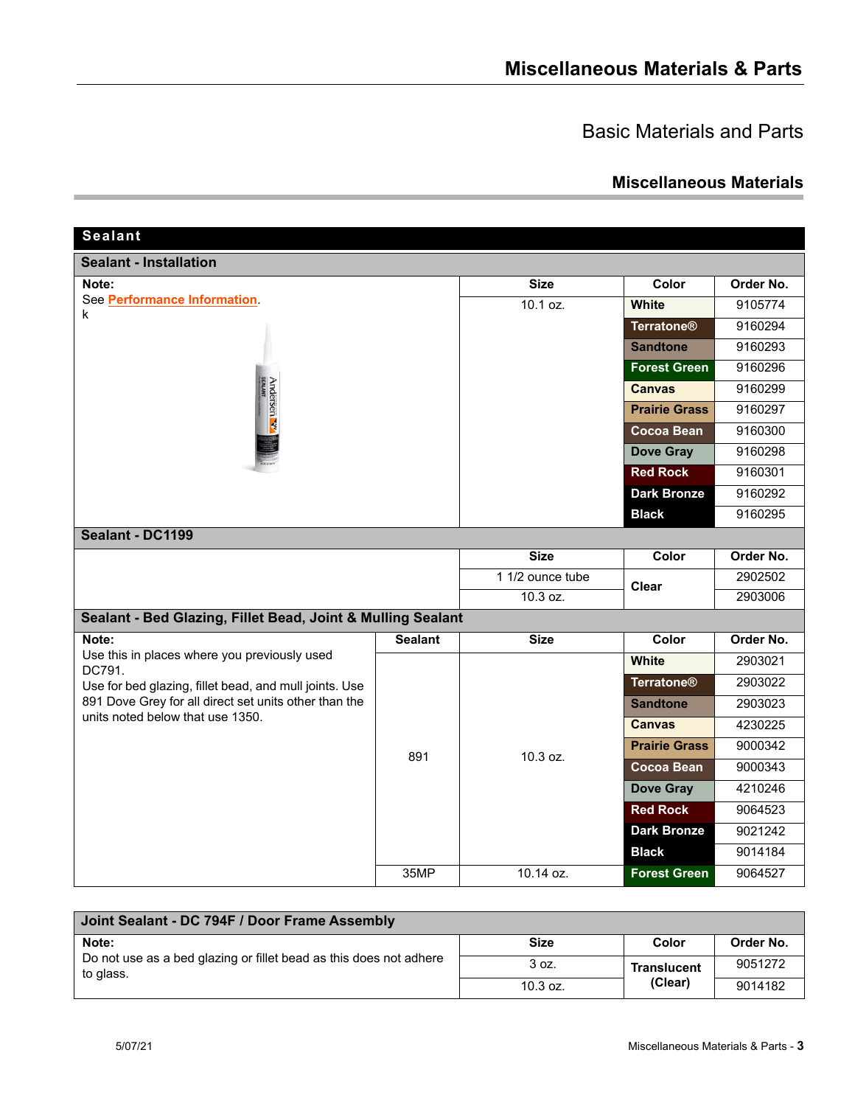<span id="page-2-2"></span><span id="page-2-1"></span><span id="page-2-0"></span>

| <b>Sealant</b>                                                                            |                |                    |                      |           |
|-------------------------------------------------------------------------------------------|----------------|--------------------|----------------------|-----------|
|                                                                                           |                |                    |                      |           |
| <b>Sealant - Installation</b>                                                             |                |                    |                      |           |
| Note:                                                                                     |                | <b>Size</b>        | Color                | Order No. |
| See Performance Information.<br>k                                                         |                | 10.1 oz.           | White                | 9105774   |
|                                                                                           |                |                    | <b>Terratone®</b>    | 9160294   |
|                                                                                           |                |                    | <b>Sandtone</b>      | 9160293   |
|                                                                                           |                |                    | <b>Forest Green</b>  | 9160296   |
| Andersen W                                                                                |                |                    | <b>Canvas</b>        | 9160299   |
|                                                                                           |                |                    | <b>Prairie Grass</b> | 9160297   |
|                                                                                           |                | <b>Cocoa Bean</b>  | 9160300              |           |
|                                                                                           |                | <b>Dove Gray</b>   | 9160298              |           |
|                                                                                           |                | <b>Red Rock</b>    | 9160301              |           |
|                                                                                           |                | <b>Dark Bronze</b> | 9160292              |           |
|                                                                                           |                |                    | <b>Black</b>         | 9160295   |
| Sealant - DC1199                                                                          |                |                    |                      |           |
|                                                                                           |                | <b>Size</b>        | Color                | Order No. |
|                                                                                           |                | 1 1/2 ounce tube   | Clear                | 2902502   |
|                                                                                           |                | 10.3 oz.           |                      | 2903006   |
| Sealant - Bed Glazing, Fillet Bead, Joint & Mulling Sealant                               |                |                    |                      |           |
| Note:                                                                                     | <b>Sealant</b> | <b>Size</b>        | Color                | Order No. |
| Use this in places where you previously used<br>DC791.                                    |                |                    | <b>White</b>         | 2903021   |
| Use for bed glazing, fillet bead, and mull joints. Use                                    |                |                    | <b>Terratone®</b>    | 2903022   |
| 891 Dove Grey for all direct set units other than the<br>units noted below that use 1350. |                |                    | <b>Sandtone</b>      | 2903023   |
|                                                                                           |                |                    | <b>Canvas</b>        | 4230225   |
|                                                                                           | 891            | 10.3 oz.           | <b>Prairie Grass</b> | 9000342   |
|                                                                                           |                |                    | <b>Cocoa Bean</b>    | 9000343   |
|                                                                                           |                |                    | <b>Dove Gray</b>     | 4210246   |
|                                                                                           |                |                    | <b>Red Rock</b>      | 9064523   |
|                                                                                           |                |                    | <b>Dark Bronze</b>   | 9021242   |
|                                                                                           |                |                    | <b>Black</b>         | 9014184   |
|                                                                                           | 35MP           | 10.14 oz.          | <b>Forest Green</b>  | 9064527   |

| Joint Sealant - DC 794F / Door Frame Assembly                                   |             |                    |           |  |  |
|---------------------------------------------------------------------------------|-------------|--------------------|-----------|--|--|
| Note:                                                                           | <b>Size</b> | Color              | Order No. |  |  |
| Do not use as a bed glazing or fillet bead as this does not adhere<br>to glass. | 3 oz.       | <b>Translucent</b> | 9051272   |  |  |
|                                                                                 | 10.3 oz.    | (Clear)            | 9014182   |  |  |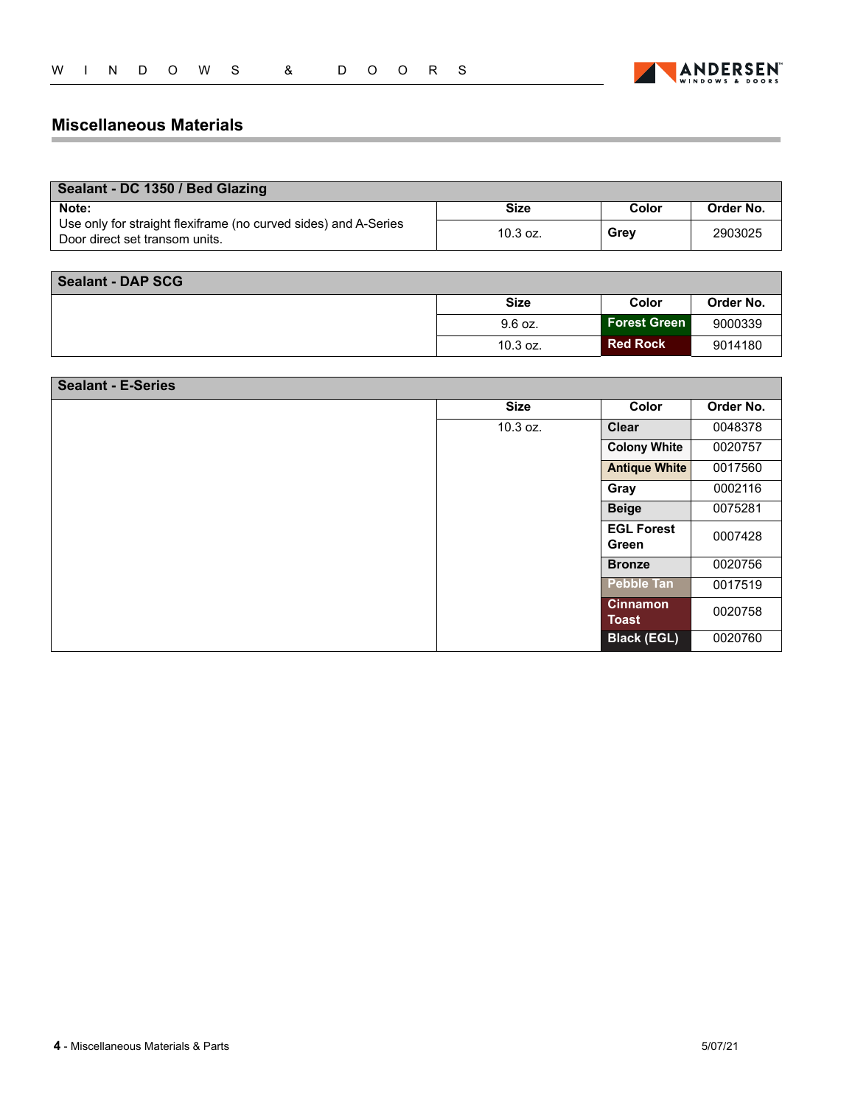

and the control of the control

| Sealant - DC 1350 / Bed Glazing                                                                   |          |       |           |
|---------------------------------------------------------------------------------------------------|----------|-------|-----------|
| Note:                                                                                             | Size     | Color | Order No. |
| Use only for straight flexiframe (no curved sides) and A-Series<br>Door direct set transom units. | 10.3 oz. | Grev  | 2903025   |

| <b>Sealant - DAP SCG</b> |             |                     |           |
|--------------------------|-------------|---------------------|-----------|
|                          | <b>Size</b> | Color               | Order No. |
|                          | 9.6 oz.     | <b>Forest Green</b> | 9000339   |
|                          | 10.3 oz.    | <b>Red Rock</b>     | 9014180   |

| <b>Sealant - E-Series</b> |             |                                 |           |
|---------------------------|-------------|---------------------------------|-----------|
|                           | <b>Size</b> | Color                           | Order No. |
|                           | 10.3 oz.    | <b>Clear</b>                    | 0048378   |
|                           |             | <b>Colony White</b>             | 0020757   |
|                           |             | <b>Antique White</b>            | 0017560   |
|                           |             | Gray                            | 0002116   |
|                           |             | <b>Beige</b>                    | 0075281   |
|                           |             | <b>EGL Forest</b><br>Green      | 0007428   |
|                           |             | <b>Bronze</b>                   | 0020756   |
|                           |             | <b>Pebble Tan</b>               | 0017519   |
|                           |             | <b>Cinnamon</b><br><b>Toast</b> | 0020758   |
|                           |             | <b>Black (EGL)</b>              | 0020760   |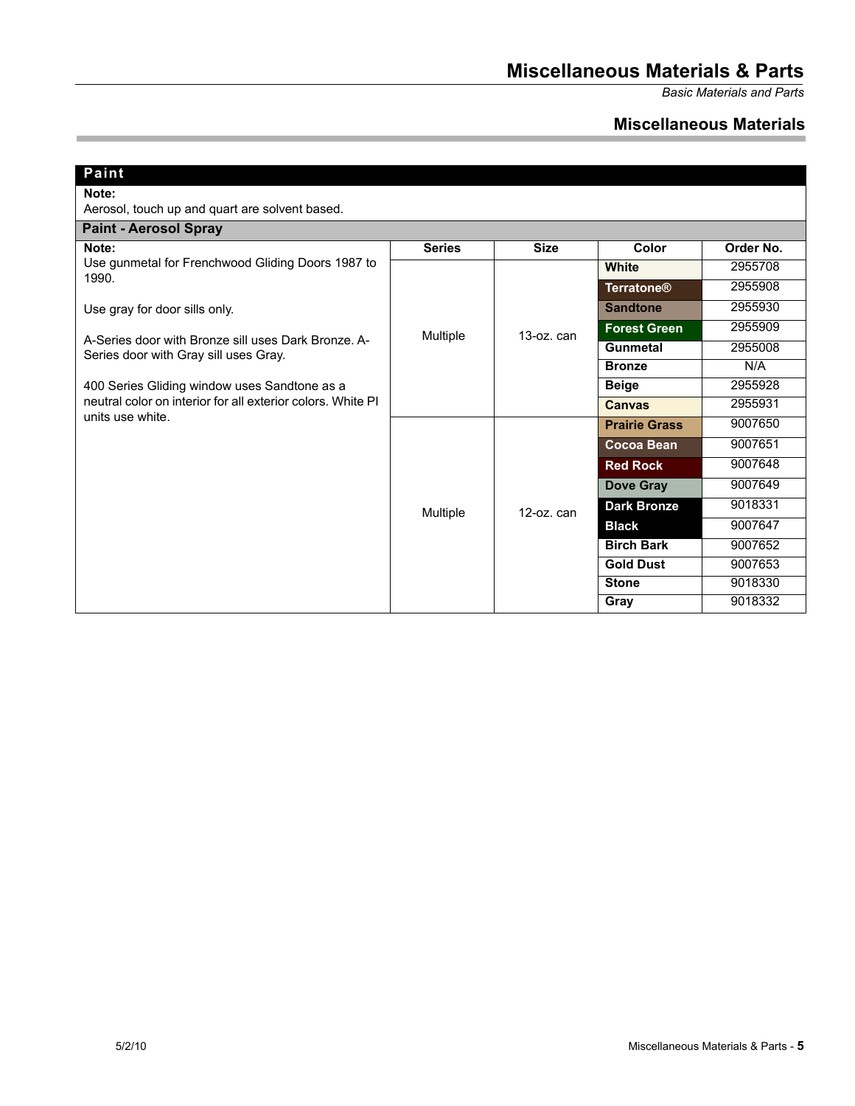# **Miscellaneous Materials & Parts**

*Basic Materials and Parts*

<span id="page-4-0"></span>

| Paint                                                                                                                           |               |               |                      |           |
|---------------------------------------------------------------------------------------------------------------------------------|---------------|---------------|----------------------|-----------|
|                                                                                                                                 |               |               |                      |           |
| Note:                                                                                                                           |               |               |                      |           |
| Aerosol, touch up and quart are solvent based.                                                                                  |               |               |                      |           |
| <b>Paint - Aerosol Spray</b>                                                                                                    |               |               |                      |           |
| Note:                                                                                                                           | <b>Series</b> | <b>Size</b>   | Color                | Order No. |
| Use gunmetal for Frenchwood Gliding Doors 1987 to<br>1990.                                                                      |               |               | <b>White</b>         | 2955708   |
|                                                                                                                                 |               |               | <b>Terratone®</b>    | 2955908   |
| Use gray for door sills only.                                                                                                   |               |               | <b>Sandtone</b>      | 2955930   |
| A-Series door with Bronze sill uses Dark Bronze, A-                                                                             | Multiple      | $13$ -oz. can | <b>Forest Green</b>  | 2955909   |
| Series door with Gray sill uses Gray.                                                                                           |               |               | Gunmetal             | 2955008   |
|                                                                                                                                 |               |               | <b>Bronze</b>        | N/A       |
| 400 Series Gliding window uses Sandtone as a<br>neutral color on interior for all exterior colors. White PI<br>units use white. |               |               | <b>Beige</b>         | 2955928   |
|                                                                                                                                 |               |               | <b>Canvas</b>        | 2955931   |
|                                                                                                                                 |               |               | <b>Prairie Grass</b> | 9007650   |
|                                                                                                                                 |               |               | Cocoa Bean           | 9007651   |
|                                                                                                                                 |               |               | <b>Red Rock</b>      | 9007648   |
|                                                                                                                                 |               |               | <b>Dove Gray</b>     | 9007649   |
|                                                                                                                                 | Multiple      | $12$ -oz. can | <b>Dark Bronze</b>   | 9018331   |
|                                                                                                                                 |               |               | <b>Black</b>         | 9007647   |
|                                                                                                                                 |               |               | <b>Birch Bark</b>    | 9007652   |
|                                                                                                                                 |               |               | <b>Gold Dust</b>     | 9007653   |
|                                                                                                                                 |               |               | <b>Stone</b>         | 9018330   |
|                                                                                                                                 |               |               | Gray                 | 9018332   |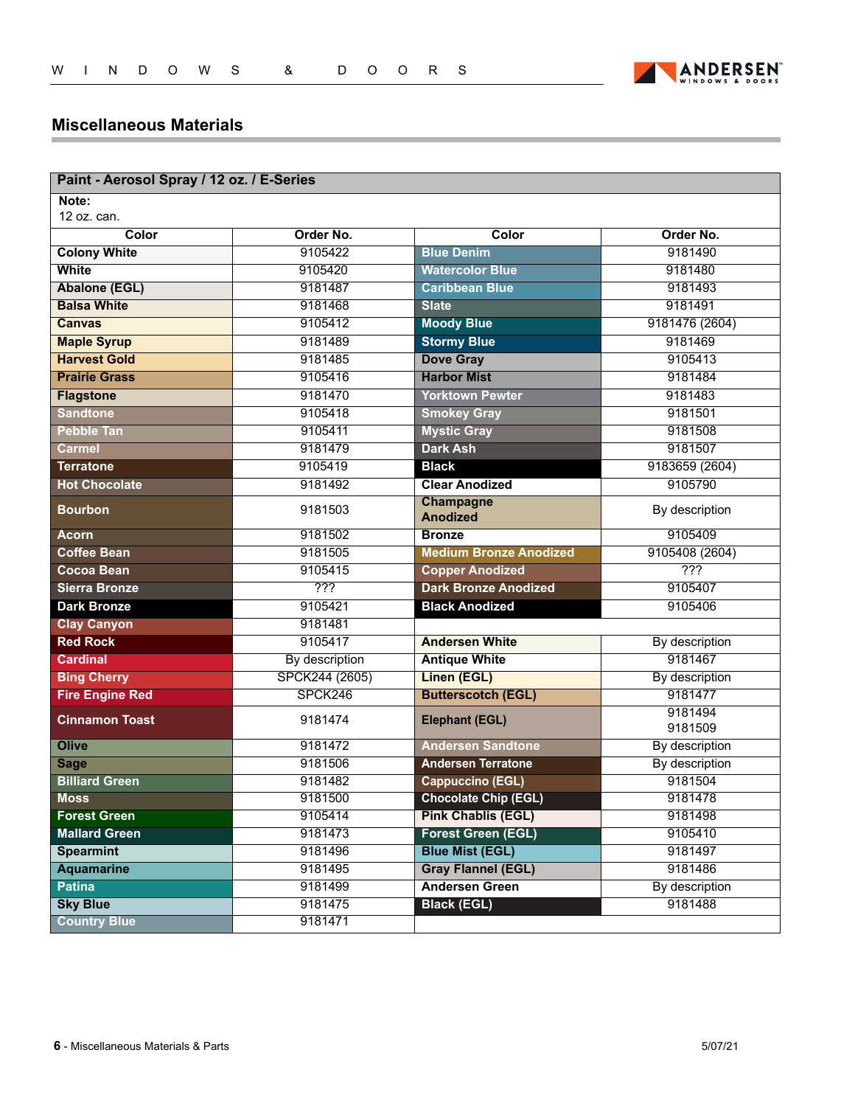

| Paint - Aerosol Spray / 12 oz. / E-Series |                  |                                     |                    |
|-------------------------------------------|------------------|-------------------------------------|--------------------|
| Note:<br>12 oz. can.                      |                  |                                     |                    |
| Color                                     | Order No.        | Color                               | Order No.          |
| <b>Colony White</b>                       | 9105422          | <b>Blue Denim</b>                   | 9181490            |
| White                                     | 9105420          | <b>Watercolor Blue</b>              | 9181480            |
| <b>Abalone (EGL)</b>                      | 9181487          | <b>Caribbean Blue</b>               | 9181493            |
| <b>Balsa White</b>                        | 9181468          | <b>Slate</b>                        | 9181491            |
| <b>Canvas</b>                             | 9105412          | <b>Moody Blue</b>                   | 9181476 (2604)     |
| <b>Maple Syrup</b>                        | 9181489          | <b>Stormy Blue</b>                  | 9181469            |
| <b>Harvest Gold</b>                       | 9181485          | <b>Dove Gray</b>                    | 9105413            |
| <b>Prairie Grass</b>                      | 9105416          | <b>Harbor Mist</b>                  | 9181484            |
| <b>Flagstone</b>                          | 9181470          | <b>Yorktown Pewter</b>              | 9181483            |
| <b>Sandtone</b>                           | 9105418          | <b>Smokey Gray</b>                  | 9181501            |
| <b>Pebble Tan</b>                         | 9105411          | <b>Mystic Gray</b>                  | 9181508            |
| <b>Carmel</b>                             | 9181479          | <b>Dark Ash</b>                     | 9181507            |
| <b>Terratone</b>                          | 9105419          | <b>Black</b>                        | 9183659 (2604)     |
| <b>Hot Chocolate</b>                      | 9181492          | <b>Clear Anodized</b>               | 9105790            |
| <b>Bourbon</b>                            | 9181503          | <b>Champagne</b><br><b>Anodized</b> | By description     |
| <b>Acorn</b>                              | 9181502          | <b>Bronze</b>                       | 9105409            |
| <b>Coffee Bean</b>                        | 9181505          | <b>Medium Bronze Anodized</b>       | 9105408 (2604)     |
| <b>Cocoa Bean</b>                         | 9105415          | <b>Copper Anodized</b>              | $\overline{222}$   |
| <b>Sierra Bronze</b>                      | $\overline{???}$ | <b>Dark Bronze Anodized</b>         | 9105407            |
| <b>Dark Bronze</b>                        | 9105421          | <b>Black Anodized</b>               | 9105406            |
| <b>Clay Canyon</b>                        | 9181481          |                                     |                    |
| <b>Red Rock</b>                           | 9105417          | <b>Andersen White</b>               | By description     |
| <b>Cardinal</b>                           | By description   | <b>Antique White</b>                | 9181467            |
| <b>Bing Cherry</b>                        | SPCK244 (2605)   | <b>Linen (EGL)</b>                  | By description     |
| <b>Fire Engine Red</b>                    | SPCK246          | <b>Butterscotch (EGL)</b>           | 9181477            |
| <b>Cinnamon Toast</b>                     | 9181474          | <b>Elephant (EGL)</b>               | 9181494<br>9181509 |
| <b>Olive</b>                              | 9181472          | <b>Andersen Sandtone</b>            | By description     |
| <b>Sage</b>                               | 9181506          | <b>Andersen Terratone</b>           | By description     |
| <b>Billiard Green</b>                     | 9181482          | Cappuccino (EGL)                    | 9181504            |
| <b>Moss</b>                               | 9181500          | <b>Chocolate Chip (EGL)</b>         | 9181478            |
| <b>Forest Green</b>                       | 9105414          | <b>Pink Chablis (EGL)</b>           | 9181498            |
| <b>Mallard Green</b>                      | 9181473          | <b>Forest Green (EGL)</b>           | 9105410            |
| <b>Spearmint</b>                          | 9181496          | <b>Blue Mist (EGL)</b>              | 9181497            |
| <b>Aquamarine</b>                         | 9181495          | <b>Gray Flannel (EGL)</b>           | 9181486            |
| <b>Patina</b>                             | 9181499          | <b>Andersen Green</b>               | By description     |
| <b>Sky Blue</b>                           | 9181475          | <b>Black (EGL)</b>                  | 9181488            |
| <b>Country Blue</b>                       | 9181471          |                                     |                    |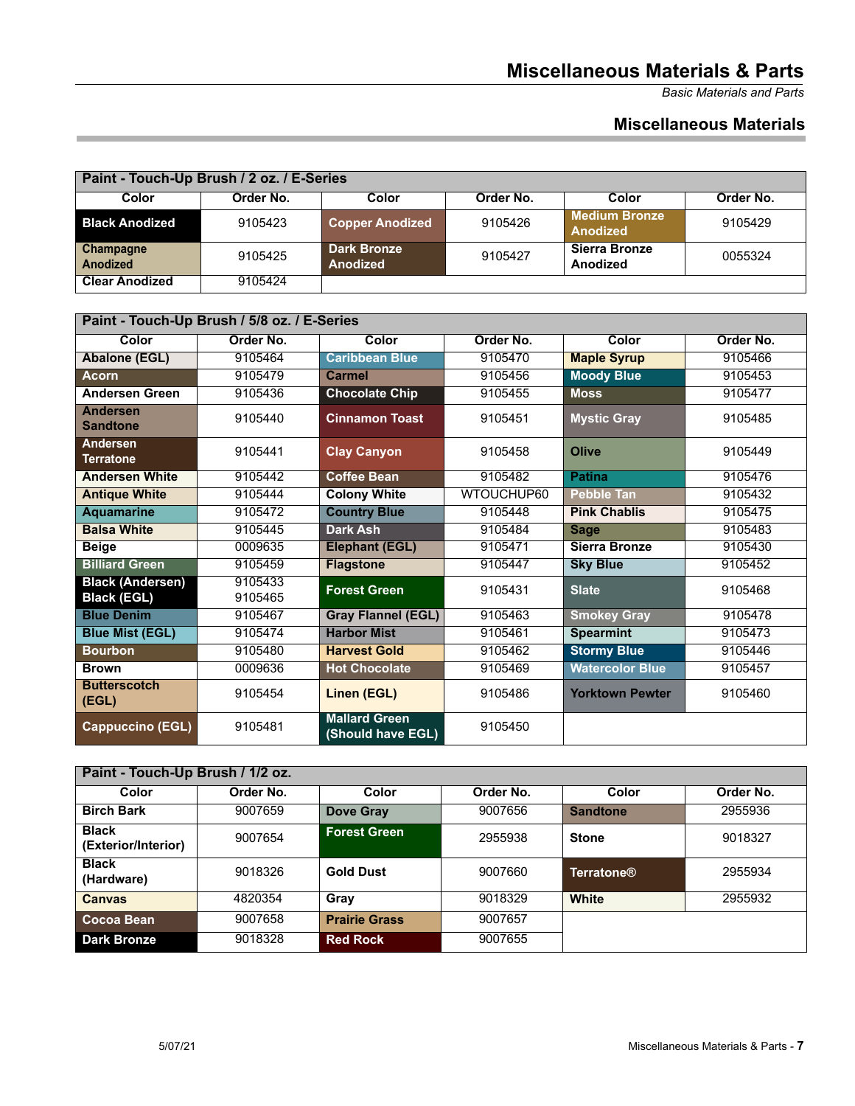## **Miscellaneous Materials & Parts**

*Basic Materials and Parts*

| Paint - Touch-Up Brush / 2 oz. / E-Series |           |                                |           |                                         |           |  |
|-------------------------------------------|-----------|--------------------------------|-----------|-----------------------------------------|-----------|--|
| Color                                     | Order No. | Color                          | Order No. | Color                                   | Order No. |  |
| <b>Black Anodized</b>                     | 9105423   | <b>Copper Anodized</b>         | 9105426   | <b>Medium Bronze</b><br><b>Anodized</b> | 9105429   |  |
| <b>Champagne</b><br><b>Anodized</b>       | 9105425   | <b>Dark Bronze</b><br>Anodized | 9105427   | Sierra Bronze<br>Anodized               | 0055324   |  |
| <b>Clear Anodized</b>                     | 9105424   |                                |           |                                         |           |  |

<span id="page-6-0"></span>

|                                               | Paint - Touch-Up Brush / 5/8 oz. / E-Series |                                           |            |                        |           |  |
|-----------------------------------------------|---------------------------------------------|-------------------------------------------|------------|------------------------|-----------|--|
| Color                                         | Order No.                                   | Color                                     | Order No.  | Color                  | Order No. |  |
| <b>Abalone (EGL)</b>                          | 9105464                                     | <b>Caribbean Blue</b>                     | 9105470    | <b>Maple Syrup</b>     | 9105466   |  |
| <b>Acorn</b>                                  | 9105479                                     | <b>Carmel</b>                             | 9105456    | <b>Moody Blue</b>      | 9105453   |  |
| <b>Andersen Green</b>                         | 9105436                                     | <b>Chocolate Chip</b>                     | 9105455    | <b>Moss</b>            | 9105477   |  |
| <b>Andersen</b><br><b>Sandtone</b>            | 9105440                                     | <b>Cinnamon Toast</b>                     | 9105451    | <b>Mystic Gray</b>     | 9105485   |  |
| Andersen<br><b>Terratone</b>                  | 9105441                                     | <b>Clay Canyon</b>                        | 9105458    | <b>Olive</b>           | 9105449   |  |
| <b>Andersen White</b>                         | 9105442                                     | <b>Coffee Bean</b>                        | 9105482    | <b>Patina</b>          | 9105476   |  |
| <b>Antique White</b>                          | 9105444                                     | <b>Colony White</b>                       | WTOUCHUP60 | <b>Pebble Tan</b>      | 9105432   |  |
| <b>Aquamarine</b>                             | 9105472                                     | <b>Country Blue</b>                       | 9105448    | <b>Pink Chablis</b>    | 9105475   |  |
| <b>Balsa White</b>                            | 9105445                                     | <b>Dark Ash</b>                           | 9105484    | <b>Sage</b>            | 9105483   |  |
| <b>Beige</b>                                  | 0009635                                     | <b>Elephant (EGL)</b>                     | 9105471    | <b>Sierra Bronze</b>   | 9105430   |  |
| <b>Billiard Green</b>                         | 9105459                                     | <b>Flagstone</b>                          | 9105447    | <b>Sky Blue</b>        | 9105452   |  |
| <b>Black (Andersen)</b><br><b>Black (EGL)</b> | 9105433<br>9105465                          | <b>Forest Green</b>                       | 9105431    | <b>Slate</b>           | 9105468   |  |
| <b>Blue Denim</b>                             | 9105467                                     | <b>Gray Flannel (EGL)</b>                 | 9105463    | <b>Smokey Gray</b>     | 9105478   |  |
| <b>Blue Mist (EGL)</b>                        | 9105474                                     | <b>Harbor Mist</b>                        | 9105461    | <b>Spearmint</b>       | 9105473   |  |
| <b>Bourbon</b>                                | 9105480                                     | <b>Harvest Gold</b>                       | 9105462    | <b>Stormy Blue</b>     | 9105446   |  |
| <b>Brown</b>                                  | 0009636                                     | <b>Hot Chocolate</b>                      | 9105469    | <b>Watercolor Blue</b> | 9105457   |  |
| <b>Butterscotch</b><br>(EGL)                  | 9105454                                     | Linen (EGL)                               | 9105486    | <b>Yorktown Pewter</b> | 9105460   |  |
| <b>Cappuccino (EGL)</b>                       | 9105481                                     | <b>Mallard Green</b><br>(Should have EGL) | 9105450    |                        |           |  |

| Paint - Touch-Up Brush / 1/2 oz.    |           |                      |           |                 |           |
|-------------------------------------|-----------|----------------------|-----------|-----------------|-----------|
| Color                               | Order No. | Color                | Order No. | Color           | Order No. |
| <b>Birch Bark</b>                   | 9007659   | <b>Dove Gray</b>     | 9007656   | <b>Sandtone</b> | 2955936   |
| <b>Black</b><br>(Exterior/Interior) | 9007654   | <b>Forest Green</b>  | 2955938   | <b>Stone</b>    | 9018327   |
| <b>Black</b><br>(Hardware)          | 9018326   | <b>Gold Dust</b>     | 9007660   | Terratone®      | 2955934   |
| <b>Canvas</b>                       | 4820354   | Gray                 | 9018329   | White           | 2955932   |
| Cocoa Bean                          | 9007658   | <b>Prairie Grass</b> | 9007657   |                 |           |
| <b>Dark Bronze</b>                  | 9018328   | <b>Red Rock</b>      | 9007655   |                 |           |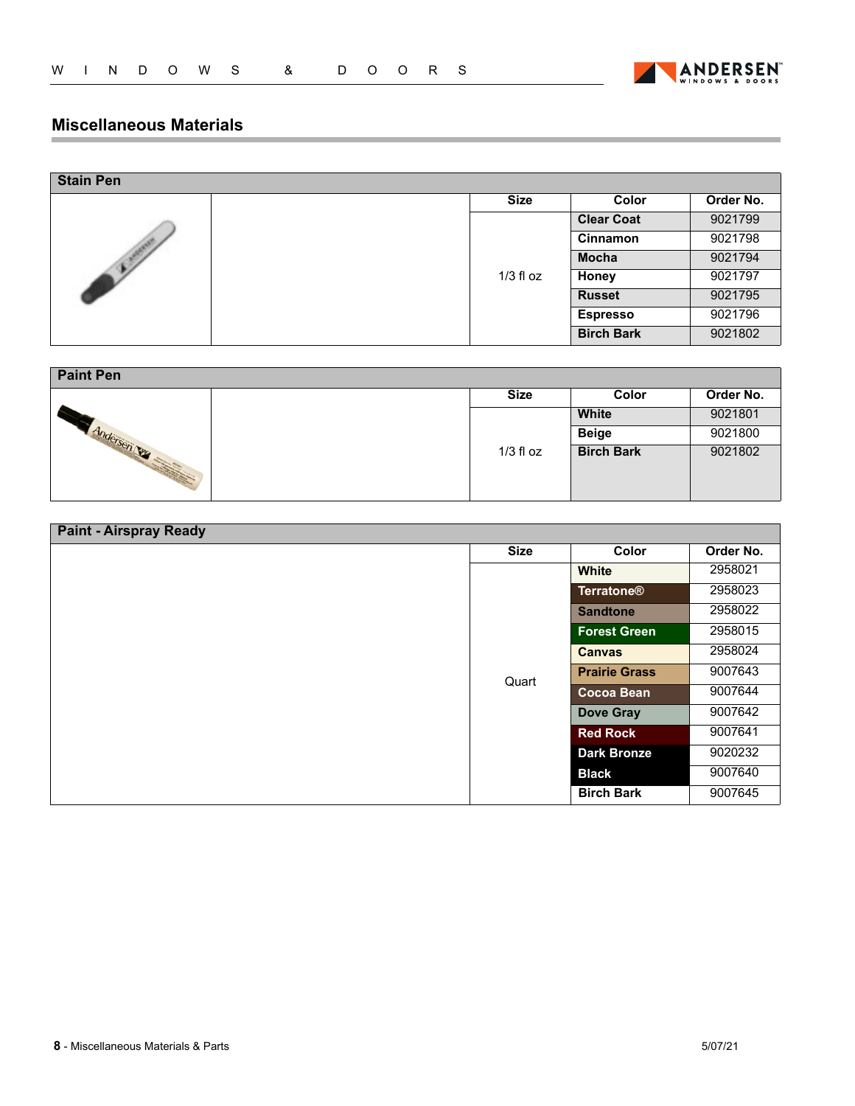

<u> Tanzania (m. 1888)</u>

| <b>Stain Pen</b> |  |             |                   |           |
|------------------|--|-------------|-------------------|-----------|
|                  |  | <b>Size</b> | Color             | Order No. |
|                  |  |             | <b>Clear Coat</b> | 9021799   |
|                  |  | $1/3$ fl oz | <b>Cinnamon</b>   | 9021798   |
|                  |  |             | <b>Mocha</b>      | 9021794   |
|                  |  |             | Honey             | 9021797   |
|                  |  |             | <b>Russet</b>     | 9021795   |
|                  |  |             | <b>Espresso</b>   | 9021796   |
|                  |  |             | <b>Birch Bark</b> | 9021802   |

| <b>Paint Pen</b> |             |                   |           |
|------------------|-------------|-------------------|-----------|
|                  | <b>Size</b> | Color             | Order No. |
|                  |             | White             | 9021801   |
| Andersen Tw      |             | <b>Beige</b>      | 9021800   |
|                  | $1/3$ fl oz | <b>Birch Bark</b> | 9021802   |
|                  |             |                   |           |
|                  |             |                   |           |

| <b>Paint - Airspray Ready</b> |             |                      |           |
|-------------------------------|-------------|----------------------|-----------|
|                               | <b>Size</b> | Color                | Order No. |
|                               |             | <b>White</b>         | 2958021   |
|                               |             | <b>Terratone®</b>    | 2958023   |
|                               |             | <b>Sandtone</b>      | 2958022   |
|                               |             | <b>Forest Green</b>  | 2958015   |
|                               | Quart       | <b>Canvas</b>        | 2958024   |
|                               |             | <b>Prairie Grass</b> | 9007643   |
|                               |             | Cocoa Bean           | 9007644   |
|                               |             | <b>Dove Gray</b>     | 9007642   |
|                               |             | <b>Red Rock</b>      | 9007641   |
|                               |             | <b>Dark Bronze</b>   | 9020232   |
|                               |             | <b>Black</b>         | 9007640   |
|                               |             | <b>Birch Bark</b>    | 9007645   |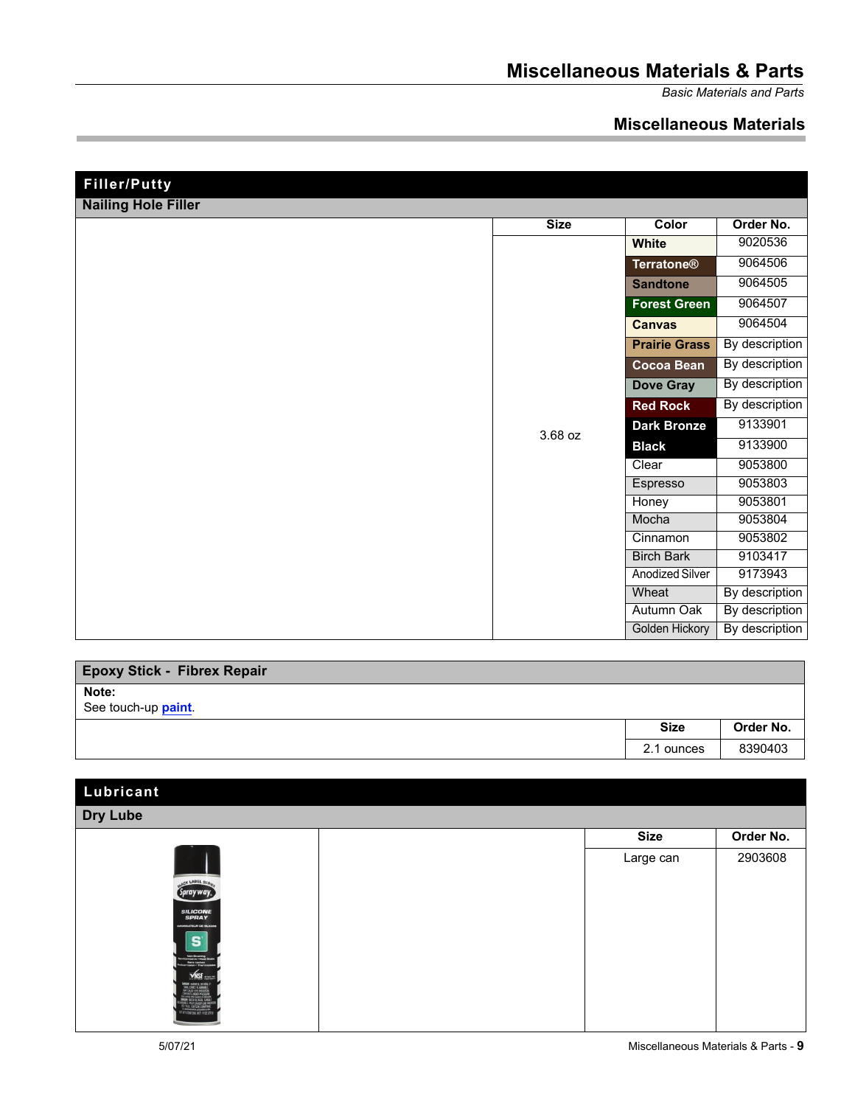<span id="page-8-0"></span>

| <b>Filler/Putty</b>        |             |                        |                |
|----------------------------|-------------|------------------------|----------------|
| <b>Nailing Hole Filler</b> |             |                        |                |
|                            | <b>Size</b> | Color                  | Order No.      |
|                            |             | <b>White</b>           | 9020536        |
|                            |             | <b>Terratone®</b>      | 9064506        |
|                            |             | <b>Sandtone</b>        | 9064505        |
|                            |             | <b>Forest Green</b>    | 9064507        |
|                            |             | <b>Canvas</b>          | 9064504        |
|                            |             | <b>Prairie Grass</b>   | By description |
|                            |             | Cocoa Bean             | By description |
|                            |             | Dove Gray              | By description |
|                            | 3.68 oz     | <b>Red Rock</b>        | By description |
|                            |             | <b>Dark Bronze</b>     | 9133901        |
|                            |             | <b>Black</b>           | 9133900        |
|                            |             | Clear                  | 9053800        |
|                            |             | Espresso               | 9053803        |
|                            |             | Honey                  | 9053801        |
|                            |             | Mocha                  | 9053804        |
|                            |             | Cinnamon               | 9053802        |
|                            |             | <b>Birch Bark</b>      | 9103417        |
|                            |             | <b>Anodized Silver</b> | 9173943        |
|                            |             | Wheat                  | By description |
|                            |             | Autumn Oak             | By description |
|                            |             | <b>Golden Hickory</b>  | By description |

| <b>Epoxy Stick - Fibrex Repair</b>   |             |           |
|--------------------------------------|-------------|-----------|
| Note:<br>See touch-up <b>paint</b> . |             |           |
|                                      | <b>Size</b> | Order No. |
|                                      | 2.1 ounces  | 8390403   |

<span id="page-8-1"></span>

| Lubricant                                                                                                                                                                                                                                                |             |           |
|----------------------------------------------------------------------------------------------------------------------------------------------------------------------------------------------------------------------------------------------------------|-------------|-----------|
| <b>Dry Lube</b>                                                                                                                                                                                                                                          |             |           |
|                                                                                                                                                                                                                                                          | <b>Size</b> | Order No. |
| ACK LABEL SER                                                                                                                                                                                                                                            | Large can   | 2903608   |
| Sprayway<br><b>SILICONE</b><br>SPRAY<br><b>APORISATELIR DE BILICONE</b>                                                                                                                                                                                  |             |           |
| S<br>Non-Braining<br>Serresha 1 Hast Brand<br>Benz taches<br>Brooker 1 Tharmsster                                                                                                                                                                        |             |           |
| MSE<br><b>DALONER HARRY OFFICE SAMPLES</b><br>SPALONER HAMMEL<br>VICTORS SURFAMPLES<br>UNITED SURFACE PRODUCT<br>UNITED SURFACES PRODUCTS<br>UNITED SURFACES OF THE SURFACE PRODUCTS<br>IN THE CONTINUES OF THE CONTINUES<br>IN THE CONTINUES OF THE CON |             |           |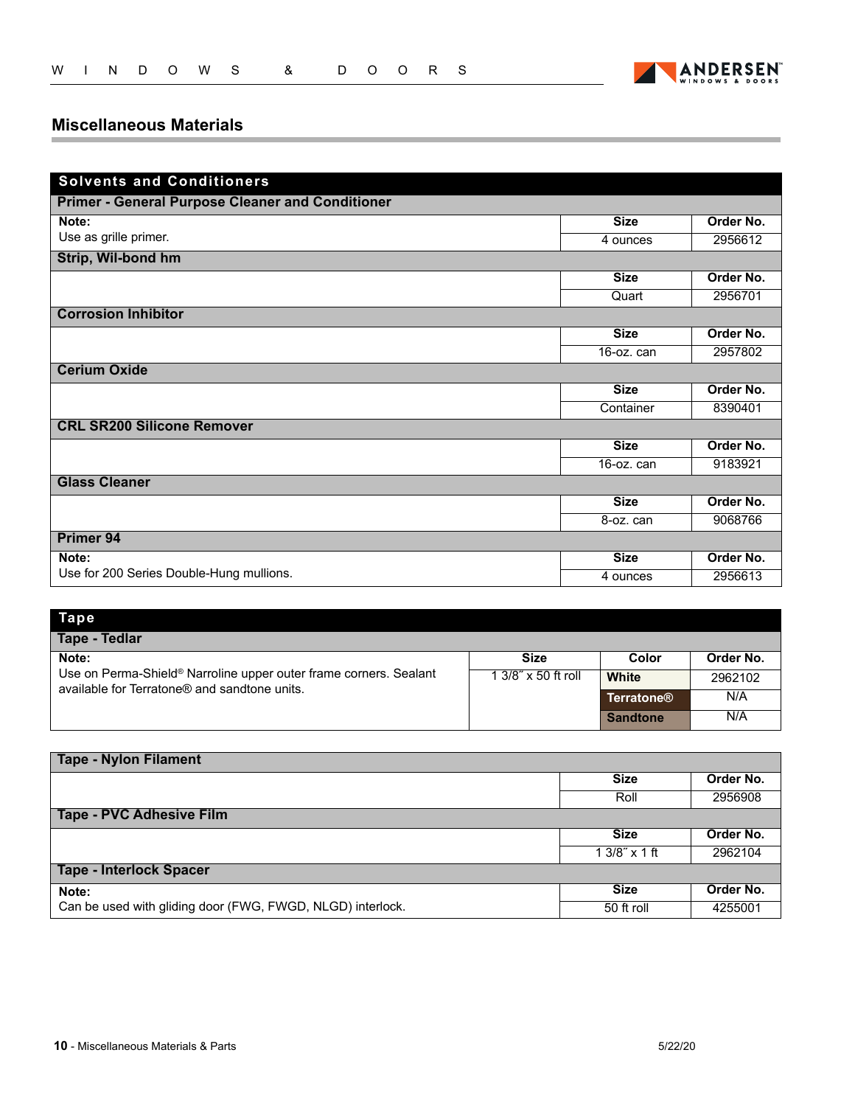

<span id="page-9-0"></span>

| <b>Solvents and Conditioners</b>                        |             |           |
|---------------------------------------------------------|-------------|-----------|
| <b>Primer - General Purpose Cleaner and Conditioner</b> |             |           |
| Note:                                                   | <b>Size</b> | Order No. |
| Use as grille primer.                                   | 4 ounces    | 2956612   |
| Strip, Wil-bond hm                                      |             |           |
|                                                         | <b>Size</b> | Order No. |
|                                                         | Quart       | 2956701   |
| <b>Corrosion Inhibitor</b>                              |             |           |
|                                                         | <b>Size</b> | Order No. |
|                                                         | 16-oz. can  | 2957802   |
| <b>Cerium Oxide</b>                                     |             |           |
|                                                         | <b>Size</b> | Order No. |
|                                                         | Container   | 8390401   |
| <b>CRL SR200 Silicone Remover</b>                       |             |           |
|                                                         | <b>Size</b> | Order No. |
|                                                         | 16-oz. can  | 9183921   |
| <b>Glass Cleaner</b>                                    |             |           |
|                                                         | <b>Size</b> | Order No. |
|                                                         | 8-oz. can   | 9068766   |
| Primer 94                                               |             |           |
| Note:                                                   | <b>Size</b> | Order No. |
| Use for 200 Series Double-Hung mullions.                | 4 ounces    | 2956613   |

<span id="page-9-1"></span>

| <b>Tape</b>                                                                                                                   |                        |                   |           |
|-------------------------------------------------------------------------------------------------------------------------------|------------------------|-------------------|-----------|
| Tape - Tedlar                                                                                                                 |                        |                   |           |
| Note:                                                                                                                         | <b>Size</b>            | Color             | Order No. |
| Use on Perma-Shield <sup>®</sup> Narroline upper outer frame corners. Sealant<br>available for Terratone® and sandtone units. | $1.3/8$ " x 50 ft roll | White             | 2962102   |
|                                                                                                                               |                        | <b>Terratone®</b> | N/A       |
|                                                                                                                               |                        | <b>Sandtone</b>   | N/A       |

| <b>Tape - Nylon Filament</b>                               |                  |           |
|------------------------------------------------------------|------------------|-----------|
|                                                            | <b>Size</b>      | Order No. |
|                                                            | Roll             | 2956908   |
| <b>Tape - PVC Adhesive Film</b>                            |                  |           |
|                                                            | <b>Size</b>      | Order No. |
|                                                            | $1.3/8$ " x 1 ft | 2962104   |
| <b>Tape - Interlock Spacer</b>                             |                  |           |
| Note:                                                      | <b>Size</b>      | Order No. |
| Can be used with gliding door (FWG, FWGD, NLGD) interlock. | 50 ft roll       | 4255001   |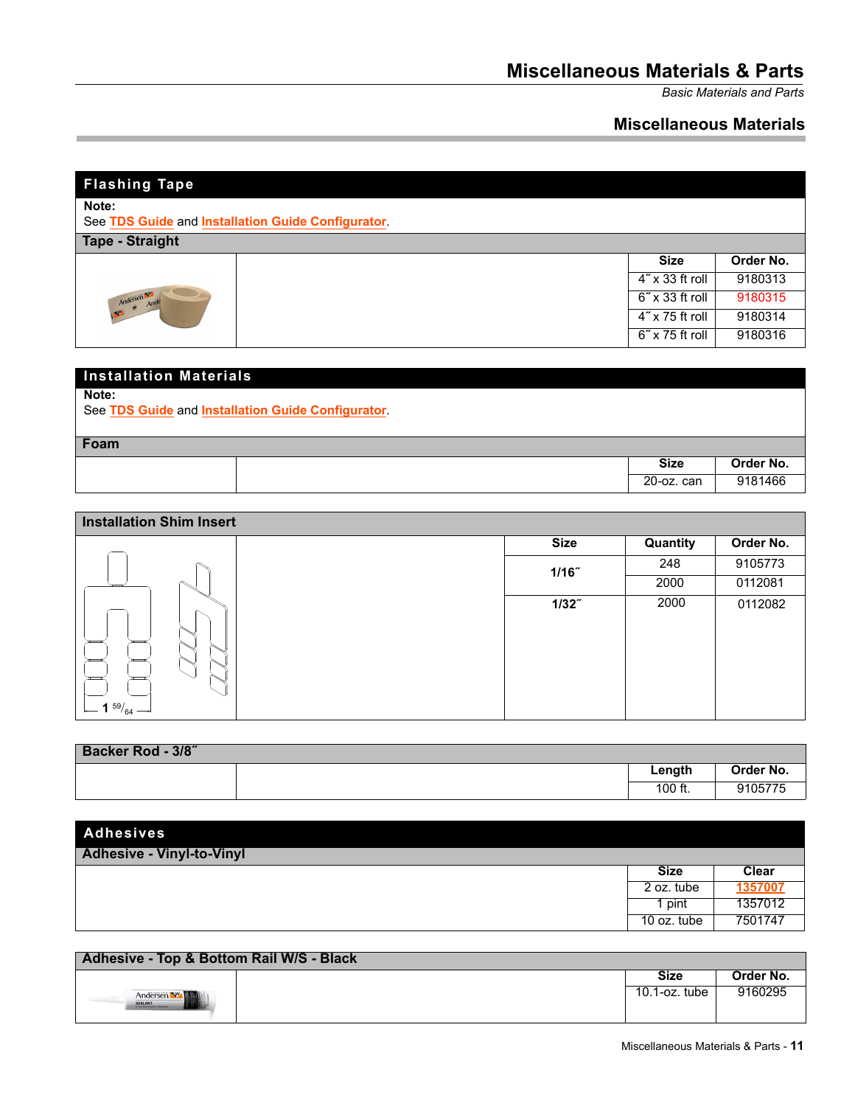<span id="page-10-0"></span>

| <b>Size</b>        | Order No. |
|--------------------|-----------|
| $4''$ x 33 ft roll | 9180313   |
| $6''$ x 33 ft roll | 9180315   |
| $4''$ x 75 ft roll | 9180314   |
| $6''$ x 75 ft roll | 9180316   |
|                    |           |

<span id="page-10-1"></span>

| <b>Installation Materials</b>                              |             |           |
|------------------------------------------------------------|-------------|-----------|
| Note:<br>See TDS Guide and Installation Guide Configurator |             |           |
| Foam                                                       |             |           |
|                                                            | <b>Size</b> | Order No. |
|                                                            | 20-oz. can  | 9181466   |

| <b>Installation Shim Insert</b> |             |          |           |
|---------------------------------|-------------|----------|-----------|
|                                 | <b>Size</b> | Quantity | Order No. |
|                                 | 1/16        | 248      | 9105773   |
| $\sim$                          |             | 2000     | 0112081   |
| 1 $^{59/64}$ $\rightarrow$      | $1/32$ "    | 2000     | 0112082   |

| Backer Rod - 3/8" |         |           |
|-------------------|---------|-----------|
|                   | Length  | Order No. |
|                   | 100 ft. | 9105775   |

<span id="page-10-2"></span>

| <b>Adhesives</b>                 |             |                 |
|----------------------------------|-------------|-----------------|
| <b>Adhesive - Vinyl-to-Vinyl</b> |             |                 |
|                                  | <b>Size</b> | <b>Clear</b>    |
|                                  | 2 oz. tube  | <u> 1357001</u> |
|                                  | 1 pint      | 1357012         |
|                                  | 10 oz. tube | 7501747         |

| Adhesive - Top & Bottom Rail W/S - Black                          |               |           |
|-------------------------------------------------------------------|---------------|-----------|
|                                                                   | <b>Size</b>   | Order No. |
| Andersen YY<br><b>SEALANT</b><br>For Mindow and Door Installation | 10.1-oz. tube | 9160295   |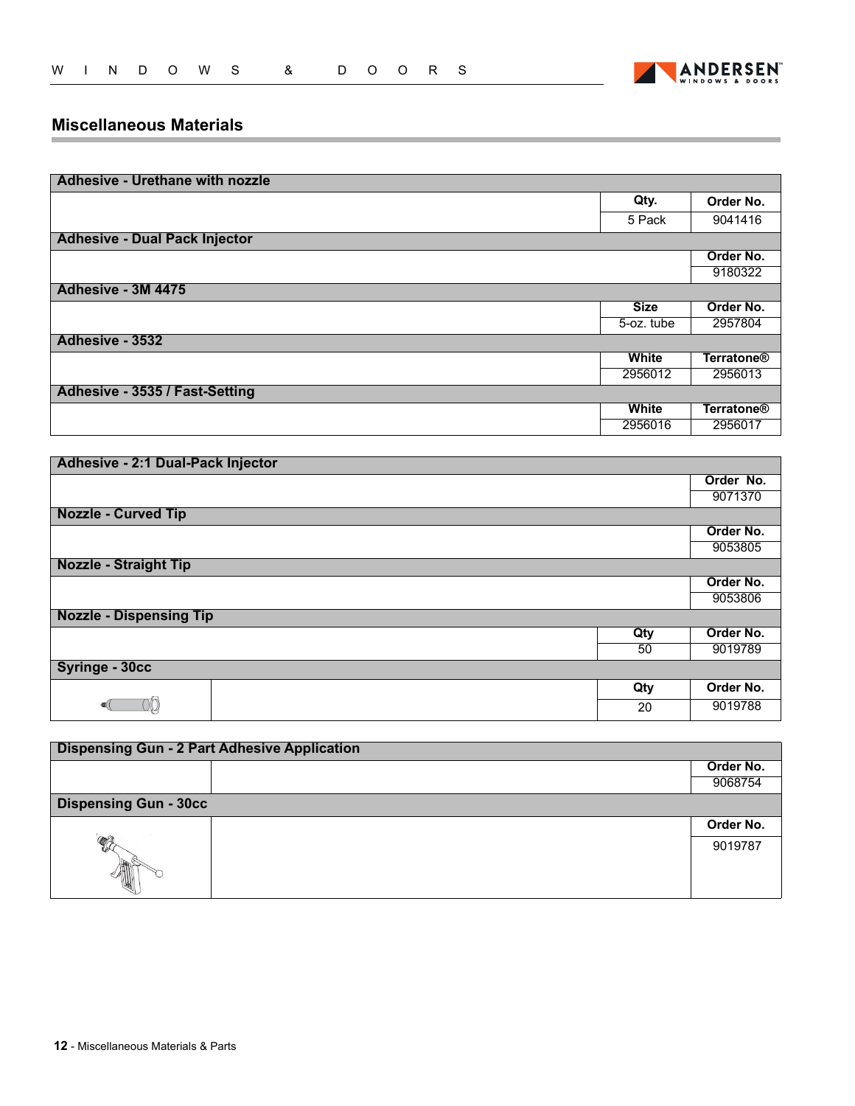

and the control of the control of the control of the control of the control of the control of the control of the

| Adhesive - Urethane with nozzle      |             |                   |
|--------------------------------------|-------------|-------------------|
|                                      | Qty.        | Order No.         |
|                                      | 5 Pack      | 9041416           |
| <b>Adhesive - Dual Pack Injector</b> |             |                   |
|                                      |             | Order No.         |
|                                      |             | 9180322           |
| Adhesive - 3M 4475                   |             |                   |
|                                      |             |                   |
|                                      | <b>Size</b> | Order No.         |
|                                      | 5-oz. tube  | 2957804           |
| Adhesive - 3532                      |             |                   |
|                                      | White       | <b>Terratone®</b> |
|                                      | 2956012     | 2956013           |
| Adhesive - 3535 / Fast-Setting       |             |                   |
|                                      | White       | <b>Terratone®</b> |

| Adhesive - 2:1 Dual-Pack Injector |     |           |
|-----------------------------------|-----|-----------|
|                                   |     | Order No. |
|                                   |     | 9071370   |
| <b>Nozzle - Curved Tip</b>        |     |           |
|                                   |     | Order No. |
|                                   |     | 9053805   |
| <b>Nozzle - Straight Tip</b>      |     |           |
|                                   |     | Order No. |
|                                   |     | 9053806   |
| <b>Nozzle - Dispensing Tip</b>    |     |           |
|                                   | Qty | Order No. |
|                                   | 50  | 9019789   |
| Syringe - 30cc                    |     |           |
|                                   | Qty | Order No. |
|                                   | 20  | 9019788   |

| <b>Dispensing Gun - 2 Part Adhesive Application</b> |  |           |  |  |  |
|-----------------------------------------------------|--|-----------|--|--|--|
|                                                     |  | Order No. |  |  |  |
|                                                     |  | 9068754   |  |  |  |
| <b>Dispensing Gun - 30cc</b>                        |  |           |  |  |  |
|                                                     |  | Order No. |  |  |  |
| ₩                                                   |  | 9019787   |  |  |  |
|                                                     |  |           |  |  |  |
| ШI                                                  |  |           |  |  |  |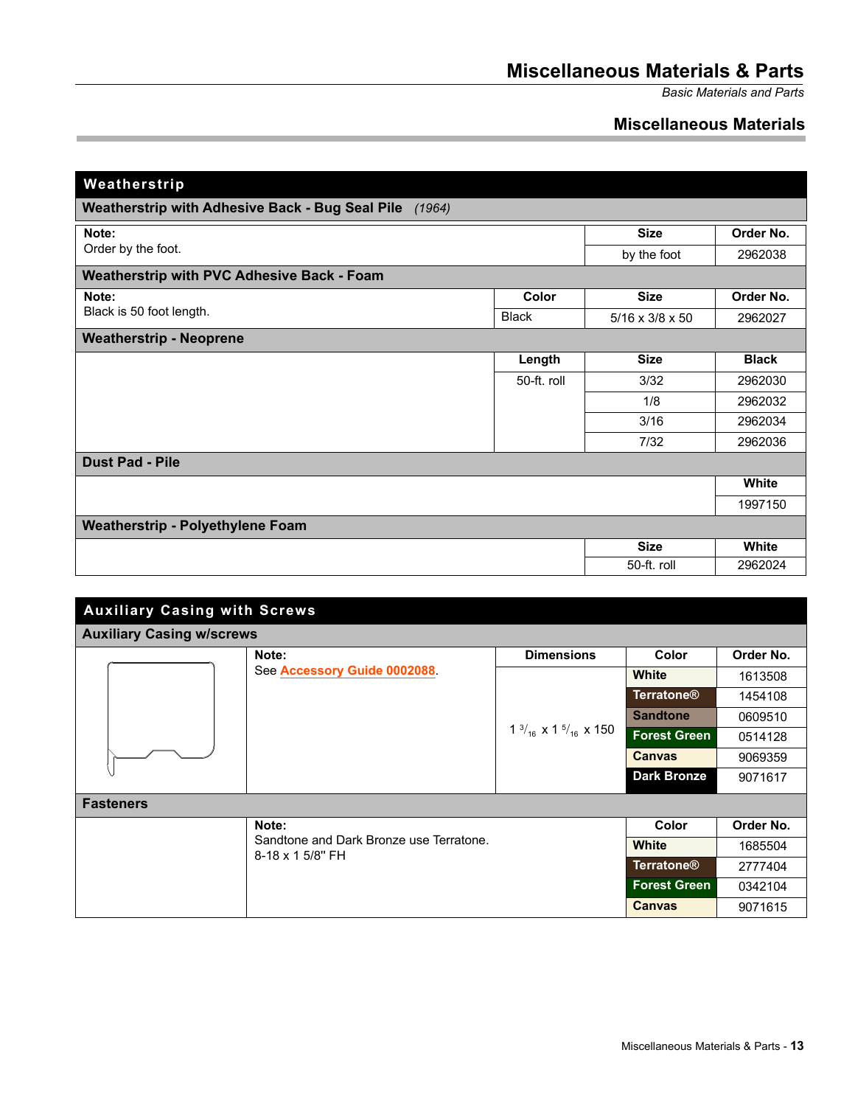<span id="page-12-0"></span>

| Weatherstrip                                           |              |                             |              |
|--------------------------------------------------------|--------------|-----------------------------|--------------|
| Weatherstrip with Adhesive Back - Bug Seal Pile (1964) |              |                             |              |
| Note:                                                  |              | <b>Size</b>                 | Order No.    |
| Order by the foot.                                     |              | by the foot                 | 2962038      |
| Weatherstrip with PVC Adhesive Back - Foam             |              |                             |              |
| Note:                                                  | Color        | <b>Size</b>                 | Order No.    |
| Black is 50 foot length.                               | <b>Black</b> | $5/16 \times 3/8 \times 50$ | 2962027      |
| <b>Weatherstrip - Neoprene</b>                         |              |                             |              |
|                                                        | Length       | <b>Size</b>                 | <b>Black</b> |
|                                                        | 50-ft. roll  | 3/32                        | 2962030      |
|                                                        |              | 1/8                         | 2962032      |
|                                                        |              | 3/16                        | 2962034      |
|                                                        |              | 7/32                        | 2962036      |
| <b>Dust Pad - Pile</b>                                 |              |                             |              |
|                                                        |              |                             | White        |
|                                                        |              |                             | 1997150      |
| <b>Weatherstrip - Polyethylene Foam</b>                |              |                             |              |
|                                                        |              | <b>Size</b>                 | White        |
|                                                        |              | 50-ft. roll                 | 2962024      |

<span id="page-12-1"></span>

| <b>Auxiliary Casing with Screws</b>                                |                             |                                           |                     |           |  |
|--------------------------------------------------------------------|-----------------------------|-------------------------------------------|---------------------|-----------|--|
| <b>Auxiliary Casing w/screws</b>                                   |                             |                                           |                     |           |  |
| Note:                                                              |                             | <b>Dimensions</b>                         | Color               | Order No. |  |
|                                                                    | See Accessory Guide 0002088 |                                           | <b>White</b>        | 1613508   |  |
|                                                                    |                             | <b>Terratone®</b>                         | 1454108             |           |  |
|                                                                    |                             | 1 $\frac{3}{16}$ x 1 $\frac{5}{16}$ x 150 | <b>Sandtone</b>     | 0609510   |  |
|                                                                    |                             |                                           | <b>Forest Green</b> | 0514128   |  |
|                                                                    |                             |                                           | <b>Canvas</b>       | 9069359   |  |
|                                                                    |                             | <b>Dark Bronze</b>                        | 9071617             |           |  |
| <b>Fasteners</b>                                                   |                             |                                           |                     |           |  |
|                                                                    | Note:                       |                                           | Color               | Order No. |  |
| Sandtone and Dark Bronze use Terratone.<br>$8-18 \times 15/8$ " FH |                             |                                           | White               | 1685504   |  |
|                                                                    |                             |                                           | <b>Terratone®</b>   | 2777404   |  |
|                                                                    |                             |                                           | <b>Forest Green</b> | 0342104   |  |
|                                                                    |                             |                                           | <b>Canvas</b>       | 9071615   |  |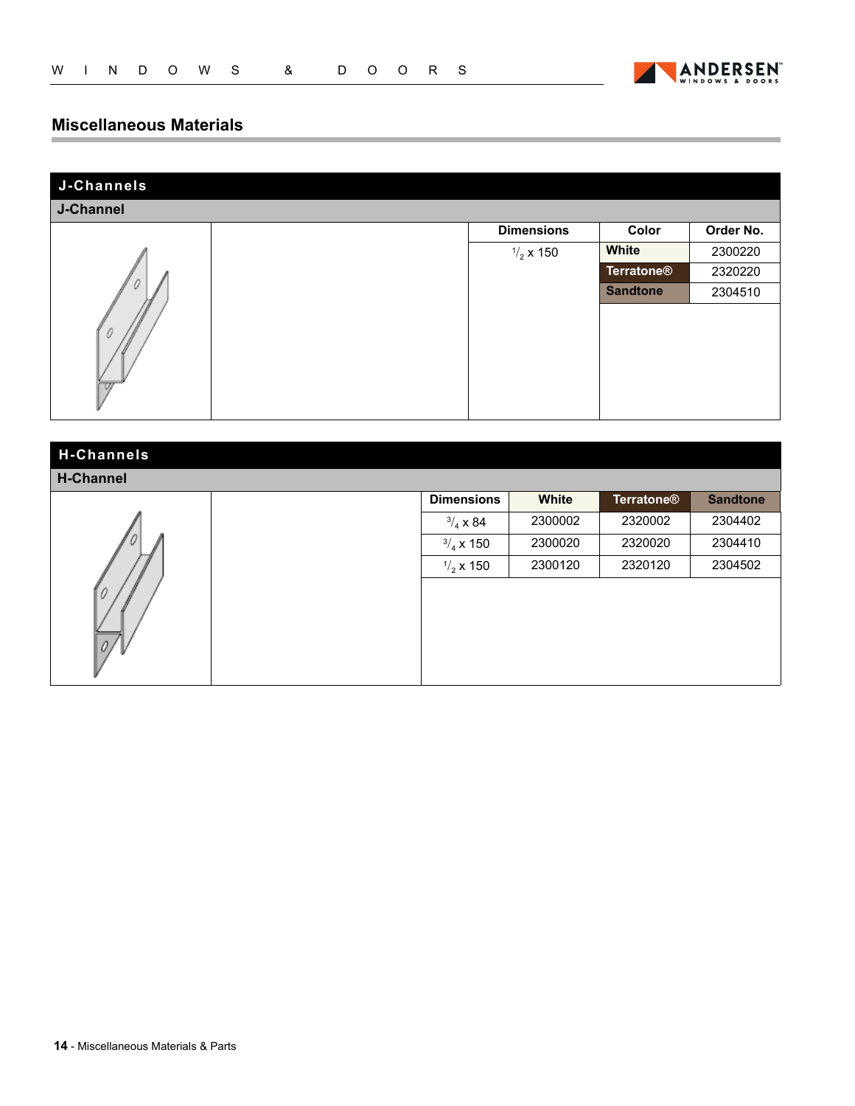

and the control of the control of the

<span id="page-13-0"></span>

| J-Channels       |                     |                   |           |
|------------------|---------------------|-------------------|-----------|
| <b>J-Channel</b> |                     |                   |           |
|                  | <b>Dimensions</b>   | Color             | Order No. |
|                  | $\frac{1}{2}$ x 150 | White             | 2300220   |
|                  |                     | <b>Terratone®</b> | 2320220   |
|                  |                     | <b>Sandtone</b>   | 2304510   |
|                  |                     |                   |           |
| 0                |                     |                   |           |
|                  |                     |                   |           |
|                  |                     |                   |           |
| w                |                     |                   |           |
|                  |                     |                   |           |

<span id="page-13-1"></span>

| <b>H-Channels</b> |                     |         |                   |                 |
|-------------------|---------------------|---------|-------------------|-----------------|
| <b>H-Channel</b>  |                     |         |                   |                 |
|                   | <b>Dimensions</b>   | White   | <b>Terratone®</b> | <b>Sandtone</b> |
|                   | $^{3/}_{4}$ x 84    | 2300002 | 2320002           | 2304402         |
| $\theta$          | $\frac{3}{4}$ x 150 | 2300020 | 2320020           | 2304410         |
|                   | $\frac{1}{2}$ x 150 | 2300120 | 2320120           | 2304502         |
|                   |                     |         |                   |                 |
|                   |                     |         |                   |                 |
| $\theta$          |                     |         |                   |                 |
|                   |                     |         |                   |                 |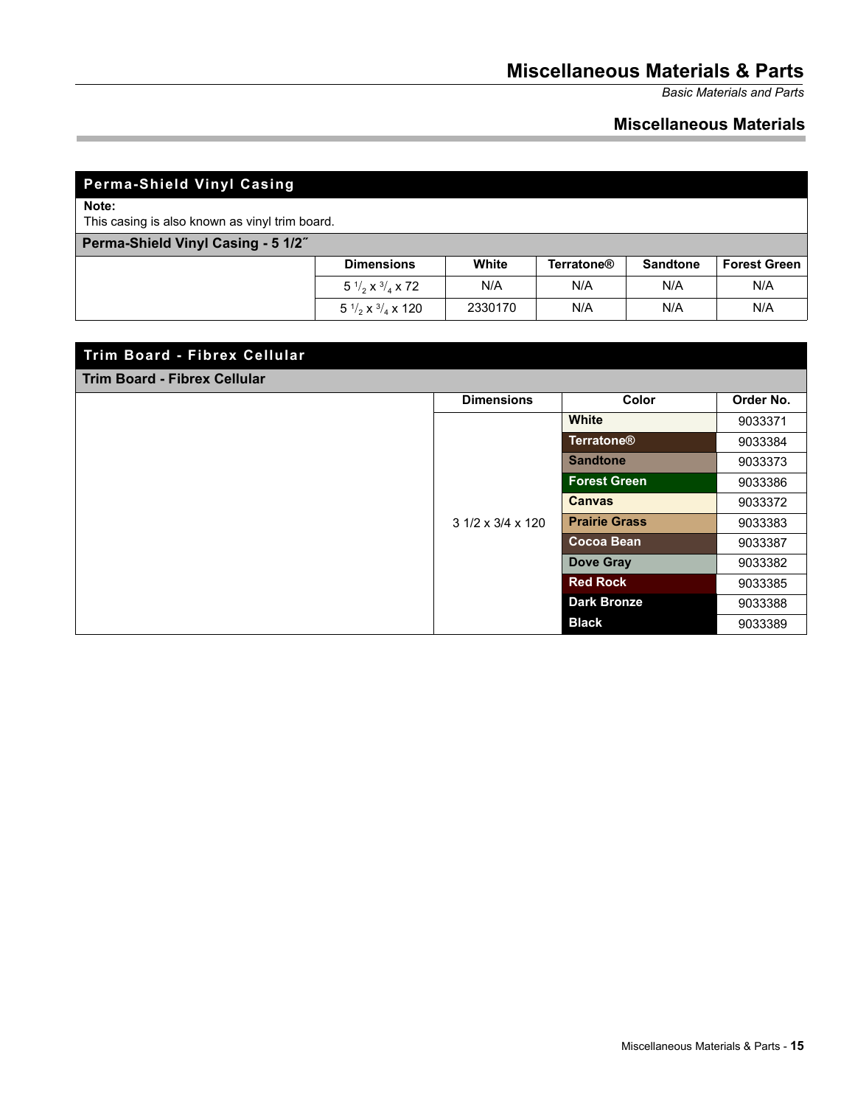<span id="page-14-0"></span>

| <b>Perma-Shield Vinyl Casing</b>               |                                      |       |                   |                 |                     |  |
|------------------------------------------------|--------------------------------------|-------|-------------------|-----------------|---------------------|--|
| Note:                                          |                                      |       |                   |                 |                     |  |
| This casing is also known as vinyl trim board. |                                      |       |                   |                 |                     |  |
| Perma-Shield Vinyl Casing - 5 1/2"             |                                      |       |                   |                 |                     |  |
|                                                | <b>Dimensions</b>                    | White | <b>Terratone®</b> | <b>Sandtone</b> | <b>Forest Green</b> |  |
|                                                | 5 $\frac{1}{2}$ x $\frac{3}{4}$ x 72 | N/A   | N/A               | N/A             | N/A                 |  |
|                                                |                                      |       |                   |                 |                     |  |

<span id="page-14-1"></span>

| Trim Board - Fibrex Cellular        |                   |                      |           |  |  |
|-------------------------------------|-------------------|----------------------|-----------|--|--|
| <b>Trim Board - Fibrex Cellular</b> |                   |                      |           |  |  |
|                                     | <b>Dimensions</b> | Color                | Order No. |  |  |
|                                     |                   | <b>White</b>         | 9033371   |  |  |
|                                     |                   | <b>Terratone®</b>    | 9033384   |  |  |
|                                     |                   | <b>Sandtone</b>      | 9033373   |  |  |
|                                     |                   | <b>Forest Green</b>  | 9033386   |  |  |
|                                     |                   | <b>Canvas</b>        | 9033372   |  |  |
|                                     | 3 1/2 x 3/4 x 120 | <b>Prairie Grass</b> | 9033383   |  |  |
|                                     |                   | <b>Cocoa Bean</b>    | 9033387   |  |  |
|                                     |                   | <b>Dove Gray</b>     | 9033382   |  |  |
|                                     |                   | <b>Red Rock</b>      | 9033385   |  |  |
|                                     |                   | <b>Dark Bronze</b>   | 9033388   |  |  |
|                                     |                   | <b>Black</b>         | 9033389   |  |  |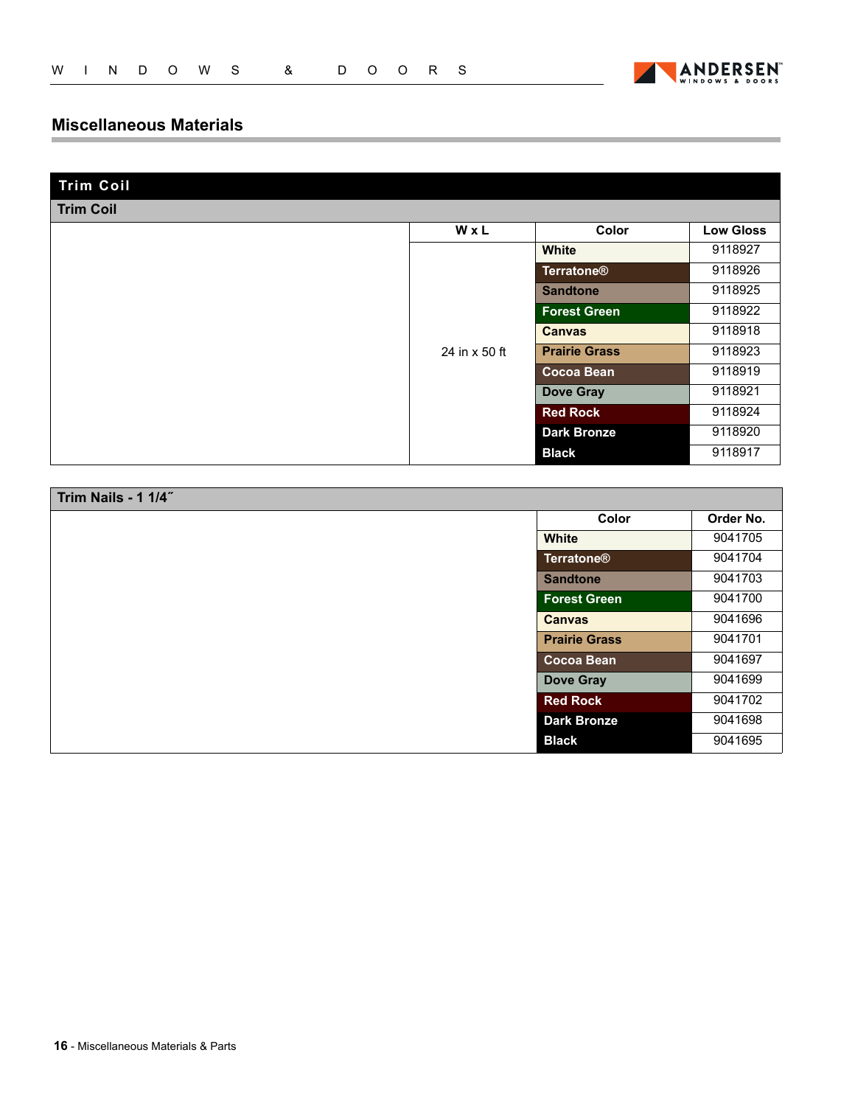

and the control of the control of the control of the control of the control of the control of

<span id="page-15-0"></span>

| <b>Trim Coil</b> |               |                      |                  |
|------------------|---------------|----------------------|------------------|
| <b>Trim Coil</b> |               |                      |                  |
|                  | WxL           | Color                | <b>Low Gloss</b> |
|                  |               | White                | 9118927          |
|                  |               | <b>Terratone®</b>    | 9118926          |
|                  |               | <b>Sandtone</b>      | 9118925          |
|                  |               | <b>Forest Green</b>  | 9118922          |
|                  |               | <b>Canvas</b>        | 9118918          |
|                  | 24 in x 50 ft | <b>Prairie Grass</b> | 9118923          |
|                  |               | <b>Cocoa Bean</b>    | 9118919          |
|                  |               | <b>Dove Gray</b>     | 9118921          |
|                  |               | <b>Red Rock</b>      | 9118924          |
|                  |               | <b>Dark Bronze</b>   | 9118920          |
|                  |               | <b>Black</b>         | 9118917          |

| Trim Nails - 1 1/4" |                      |           |
|---------------------|----------------------|-----------|
|                     | Color                | Order No. |
|                     | White                | 9041705   |
|                     | <b>Terratone®</b>    | 9041704   |
|                     | <b>Sandtone</b>      | 9041703   |
|                     | <b>Forest Green</b>  | 9041700   |
|                     | <b>Canvas</b>        | 9041696   |
|                     | <b>Prairie Grass</b> | 9041701   |
|                     | <b>Cocoa Bean</b>    | 9041697   |
|                     | <b>Dove Gray</b>     | 9041699   |
|                     | <b>Red Rock</b>      | 9041702   |
|                     | <b>Dark Bronze</b>   | 9041698   |
|                     | <b>Black</b>         | 9041695   |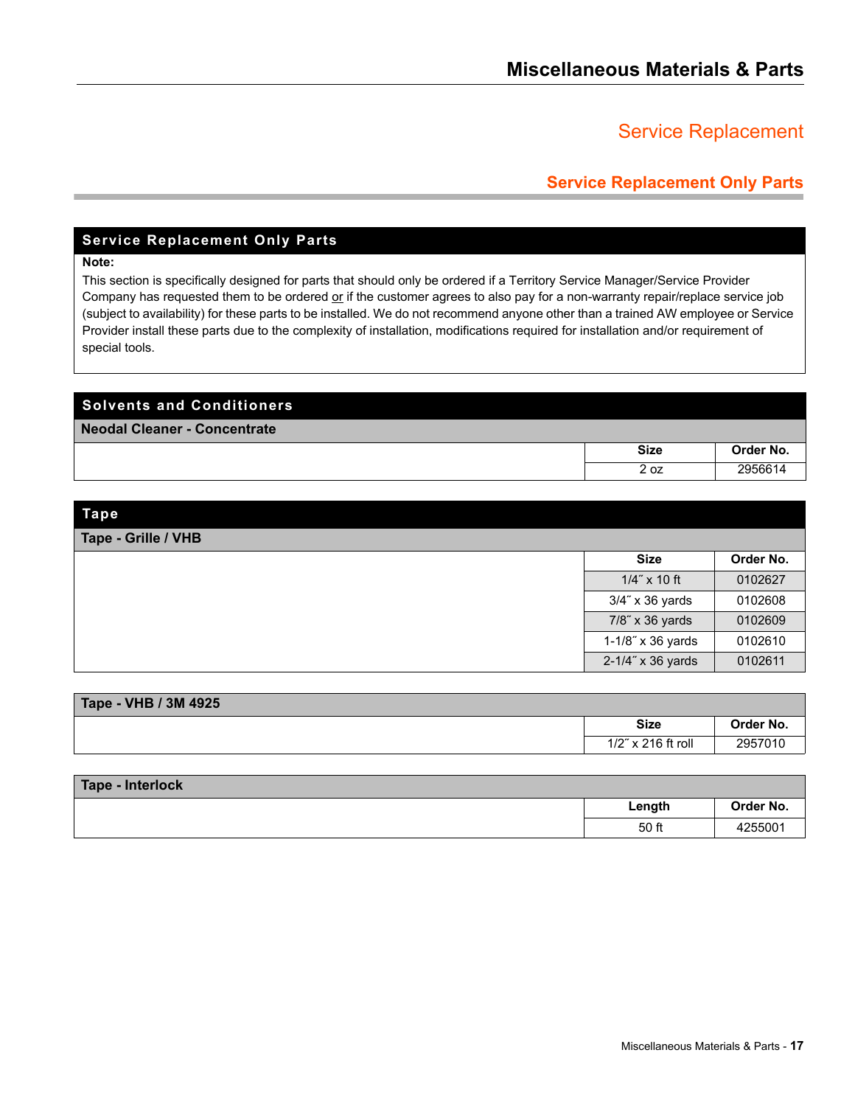Service Replacement

## **Service Replacement Only Parts**

#### <span id="page-16-2"></span><span id="page-16-1"></span><span id="page-16-0"></span>**Service Replacement Only Parts**

#### **Note:**

This section is specifically designed for parts that should only be ordered if a Territory Service Manager/Service Provider Company has requested them to be ordered or if the customer agrees to also pay for a non-warranty repair/replace service job (subject to availability) for these parts to be installed. We do not recommend anyone other than a trained AW employee or Service Provider install these parts due to the complexity of installation, modifications required for installation and/or requirement of special tools.

#### <span id="page-16-3"></span>**Solvents and Conditioners**

| Neodal Cleaner - Concentrate |                 |           |
|------------------------------|-----------------|-----------|
|                              | <b>Size</b>     | Order No. |
|                              | 2 <sub>oz</sub> | 2956614   |

<span id="page-16-4"></span>

| <b>Tape</b>         |                   |           |
|---------------------|-------------------|-----------|
| Tape - Grille / VHB |                   |           |
|                     | <b>Size</b>       | Order No. |
|                     | $1/4$ " x 10 ft   | 0102627   |
|                     | 3/4" x 36 yards   | 0102608   |
|                     | 7/8" x 36 yards   | 0102609   |
|                     | 1-1/8" x 36 yards | 0102610   |
|                     | 2-1/4" x 36 yards | 0102611   |

| Tape - VHB / 3M 4925 |                       |           |
|----------------------|-----------------------|-----------|
|                      | <b>Size</b>           | Order No. |
|                      | $1/2$ " x 216 ft roll | 2957010   |

| Tape - Interlock |        |           |
|------------------|--------|-----------|
|                  | Length | Order No. |
|                  | 50 ft  | 4255001   |